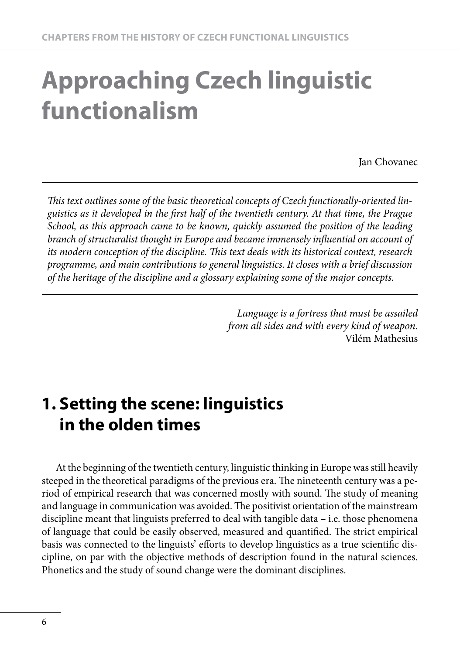# **Approaching Czech linguistic functionalism**

Jan Chovanec

This text outlines some of the basic theoretical concepts of Czech functionally-oriented lin*guistics as it developed in the first half of the twentieth century. At that time, the Prague School, as this approach came to be known, quickly assumed the position of the leading branch of structuralist thought in Europe and became immensely infl uential on account of its modern conception of the discipline. This text deals with its historical context, research programme, and main contributions to general linguistics. It closes with a brief discussion of the heritage of the discipline and a glossary explaining some of the major concepts.*

> *Language is a fortress that must be assailed from all sides and with every kind of weapon*. Vilém Mathesius

# **1. Setting the scene: linguistics in the olden times**

At the beginning of the twentieth century, linguistic thinking in Europe was still heavily steeped in the theoretical paradigms of the previous era. The nineteenth century was a period of empirical research that was concerned mostly with sound. The study of meaning and language in communication was avoided. The positivist orientation of the mainstream discipline meant that linguists preferred to deal with tangible data – i.e. those phenomena of language that could be easily observed, measured and quantified. The strict empirical basis was connected to the linguists' efforts to develop linguistics as a true scientific discipline, on par with the objective methods of description found in the natural sciences. Phonetics and the study of sound change were the dominant disciplines.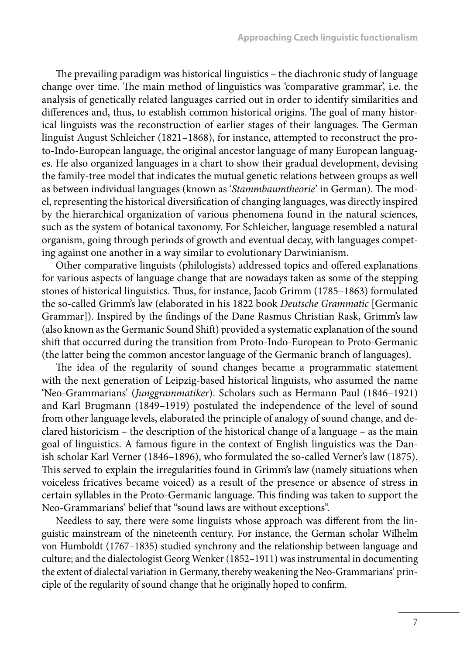The prevailing paradigm was historical linguistics  $-$  the diachronic study of language change over time. The main method of linguistics was 'comparative grammar', i.e. the analysis of genetically related languages carried out in order to identify similarities and differences and, thus, to establish common historical origins. The goal of many historical linguists was the reconstruction of earlier stages of their languages. The German linguist August Schleicher (1821–1868), for instance, attempted to reconstruct the proto-Indo-European language, the original ancestor language of many European languages. He also organized languages in a chart to show their gradual development, devising the family-tree model that indicates the mutual genetic relations between groups as well as between individual languages (known as 'Stammbaumtheorie' in German). The model, representing the historical diversification of changing languages, was directly inspired by the hierarchical organization of various phenomena found in the natural sciences, such as the system of botanical taxonomy. For Schleicher, language resembled a natural organism, going through periods of growth and eventual decay, with languages competing against one another in a way similar to evolutionary Darwinianism.

Other comparative linguists (philologists) addressed topics and offered explanations for various aspects of language change that are nowadays taken as some of the stepping stones of historical linguistics. Thus, for instance, Jacob Grimm (1785–1863) formulated the so-called Grimm's law (elaborated in his 1822 book *Deutsche Grammatic* [Germanic Grammar]). Inspired by the findings of the Dane Rasmus Christian Rask, Grimm's law (also known as the Germanic Sound Shift) provided a systematic explanation of the sound shift that occurred during the transition from Proto-Indo-European to Proto-Germanic (the latter being the common ancestor language of the Germanic branch of languages).

The idea of the regularity of sound changes became a programmatic statement with the next generation of Leipzig-based historical linguists, who assumed the name 'Neo-Grammarians' (*Junggrammatiker*). Scholars such as Hermann Paul (1846–1921) and Karl Brugmann (1849–1919) postulated the independence of the level of sound from other language levels, elaborated the principle of analogy of sound change, and declared historicism – the description of the historical change of a language – as the main goal of linguistics. A famous figure in the context of English linguistics was the Danish scholar Karl Verner (1846–1896), who formulated the so-called Verner's law (1875). This served to explain the irregularities found in Grimm's law (namely situations when voiceless fricatives became voiced) as a result of the presence or absence of stress in certain syllables in the Proto-Germanic language. This finding was taken to support the Neo-Grammarians' belief that "sound laws are without exceptions".

Needless to say, there were some linguists whose approach was different from the linguistic mainstream of the nineteenth century. For instance, the German scholar Wilhelm von Humboldt (1767–1835) studied synchrony and the relationship between language and culture; and the dialectologist Georg Wenker (1852–1911) was instrumental in documenting the extent of dialectal variation in Germany, thereby weakening the Neo-Grammarians' principle of the regularity of sound change that he originally hoped to confirm.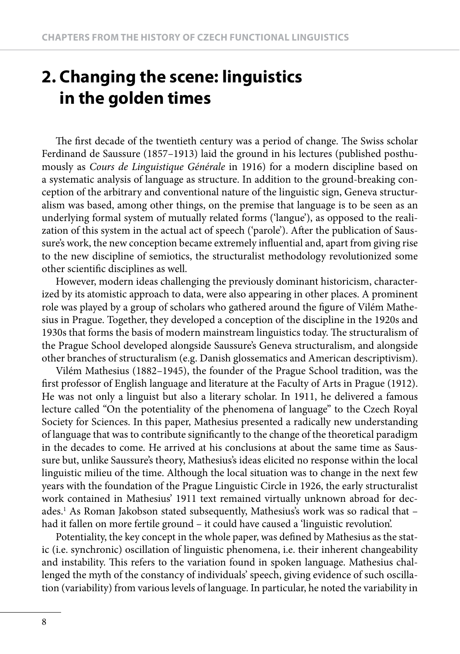# **2. Changing the scene: linguistics in the golden times**

The first decade of the twentieth century was a period of change. The Swiss scholar Ferdinand de Saussure (1857–1913) laid the ground in his lectures (published posthumously as *Cours de Linguistique Générale* in 1916) for a modern discipline based on a systematic analysis of language as structure. In addition to the ground-breaking conception of the arbitrary and conventional nature of the linguistic sign, Geneva structuralism was based, among other things, on the premise that language is to be seen as an underlying formal system of mutually related forms ('langue'), as opposed to the realization of this system in the actual act of speech ('parole'). After the publication of Saussure's work, the new conception became extremely influential and, apart from giving rise to the new discipline of semiotics, the structuralist methodology revolutionized some other scientific disciplines as well.

However, modern ideas challenging the previously dominant historicism, characterized by its atomistic approach to data, were also appearing in other places. A prominent role was played by a group of scholars who gathered around the figure of Vilém Mathesius in Prague. Together, they developed a conception of the discipline in the 1920s and 1930s that forms the basis of modern mainstream linguistics today. The structuralism of the Prague School developed alongside Saussure's Geneva structuralism, and alongside other branches of structuralism (e.g. Danish glossematics and American descriptivism).

Vilém Mathesius (1882–1945), the founder of the Prague School tradition, was the first professor of English language and literature at the Faculty of Arts in Prague (1912). He was not only a linguist but also a literary scholar. In 1911, he delivered a famous lecture called "On the potentiality of the phenomena of language" to the Czech Royal Society for Sciences. In this paper, Mathesius presented a radically new understanding of language that was to contribute significantly to the change of the theoretical paradigm in the decades to come. He arrived at his conclusions at about the same time as Saussure but, unlike Saussure's theory, Mathesius's ideas elicited no response within the local linguistic milieu of the time. Although the local situation was to change in the next few years with the foundation of the Prague Linguistic Circle in 1926, the early structuralist work contained in Mathesius' 1911 text remained virtually unknown abroad for decades.1 As Roman Jakobson stated subsequently, Mathesius's work was so radical that – had it fallen on more fertile ground – it could have caused a 'linguistic revolution'.

Potentiality, the key concept in the whole paper, was defined by Mathesius as the static (i.e. synchronic) oscillation of linguistic phenomena, i.e. their inherent changeability and instability. This refers to the variation found in spoken language. Mathesius challenged the myth of the constancy of individuals' speech, giving evidence of such oscillation (variability) from various levels of language. In particular, he noted the variability in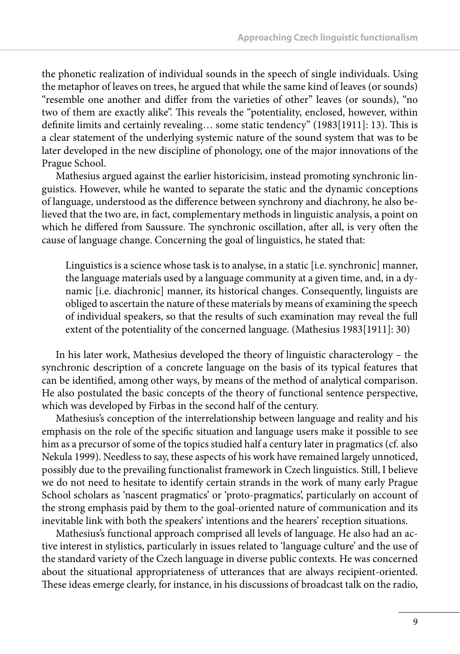the phonetic realization of individual sounds in the speech of single individuals. Using the metaphor of leaves on trees, he argued that while the same kind of leaves (or sounds) "resemble one another and differ from the varieties of other" leaves (or sounds), "no two of them are exactly alike". This reveals the "potentiality, enclosed, however, within definite limits and certainly revealing... some static tendency"  $(1983[1911]: 13)$ . This is a clear statement of the underlying systemic nature of the sound system that was to be later developed in the new discipline of phonology, one of the major innovations of the Prague School.

Mathesius argued against the earlier historicisim, instead promoting synchronic linguistics. However, while he wanted to separate the static and the dynamic conceptions of language, understood as the difference between synchrony and diachrony, he also believed that the two are, in fact, complementary methods in linguistic analysis, a point on which he differed from Saussure. The synchronic oscillation, after all, is very often the cause of language change. Concerning the goal of linguistics, he stated that:

Linguistics is a science whose task is to analyse, in a static [i.e. synchronic] manner, the language materials used by a language community at a given time, and, in a dynamic [i.e. diachronic] manner, its historical changes. Consequently, linguists are obliged to ascertain the nature of these materials by means of examining the speech of individual speakers, so that the results of such examination may reveal the full extent of the potentiality of the concerned language. (Mathesius 1983[1911]: 30)

In his later work, Mathesius developed the theory of linguistic characterology – the synchronic description of a concrete language on the basis of its typical features that can be identified, among other ways, by means of the method of analytical comparison. He also postulated the basic concepts of the theory of functional sentence perspective, which was developed by Firbas in the second half of the century.

Mathesius's conception of the interrelationship between language and reality and his emphasis on the role of the specific situation and language users make it possible to see him as a precursor of some of the topics studied half a century later in pragmatics (cf. also Nekula 1999). Needless to say, these aspects of his work have remained largely unnoticed, possibly due to the prevailing functionalist framework in Czech linguistics. Still, I believe we do not need to hesitate to identify certain strands in the work of many early Prague School scholars as 'nascent pragmatics' or 'proto-pragmatics', particularly on account of the strong emphasis paid by them to the goal-oriented nature of communication and its inevitable link with both the speakers' intentions and the hearers' reception situations.

Mathesius's functional approach comprised all levels of language. He also had an active interest in stylistics, particularly in issues related to 'language culture' and the use of the standard variety of the Czech language in diverse public contexts. He was concerned about the situational appropriateness of utterances that are always recipient-oriented. These ideas emerge clearly, for instance, in his discussions of broadcast talk on the radio,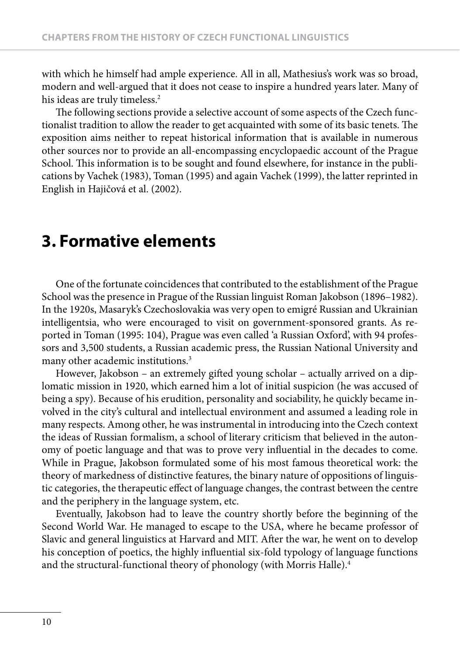with which he himself had ample experience. All in all, Mathesius's work was so broad, modern and well-argued that it does not cease to inspire a hundred years later. Many of his ideas are truly timeless.<sup>2</sup>

The following sections provide a selective account of some aspects of the Czech functionalist tradition to allow the reader to get acquainted with some of its basic tenets. The exposition aims neither to repeat historical information that is available in numerous other sources nor to provide an all-encompassing encyclopaedic account of the Prague School. This information is to be sought and found elsewhere, for instance in the publications by Vachek (1983), Toman (1995) and again Vachek (1999), the latter reprinted in English in Hajičová et al. (2002).

## **3. Formative elements**

One of the fortunate coincidences that contributed to the establishment of the Prague School was the presence in Prague of the Russian linguist Roman Jakobson (1896–1982). In the 1920s, Masaryk's Czechoslovakia was very open to emigré Russian and Ukrainian intelligentsia, who were encouraged to visit on government-sponsored grants. As reported in Toman (1995: 104), Prague was even called 'a Russian Oxford', with 94 professors and 3,500 students, a Russian academic press, the Russian National University and many other academic institutions.<sup>3</sup>

However, Jakobson - an extremely gifted young scholar - actually arrived on a diplomatic mission in 1920, which earned him a lot of initial suspicion (he was accused of being a spy). Because of his erudition, personality and sociability, he quickly became involved in the city's cultural and intellectual environment and assumed a leading role in many respects. Among other, he was instrumental in introducing into the Czech context the ideas of Russian formalism, a school of literary criticism that believed in the autonomy of poetic language and that was to prove very influential in the decades to come. While in Prague, Jakobson formulated some of his most famous theoretical work: the theory of markedness of distinctive features, the binary nature of oppositions of linguistic categories, the therapeutic effect of language changes, the contrast between the centre and the periphery in the language system, etc.

Eventually, Jakobson had to leave the country shortly before the beginning of the Second World War. He managed to escape to the USA, where he became professor of Slavic and general linguistics at Harvard and MIT. After the war, he went on to develop his conception of poetics, the highly influential six-fold typology of language functions and the structural-functional theory of phonology (with Morris Halle).<sup>4</sup>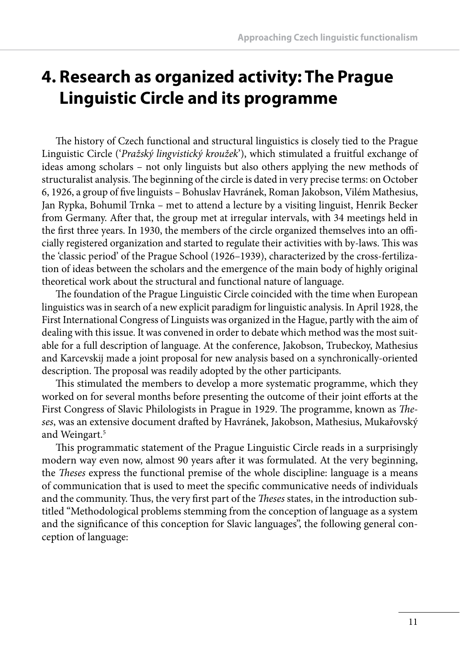# **4. Research as organized activity: The Prague Linguistic Circle and its programme**

The history of Czech functional and structural linguistics is closely tied to the Prague Linguistic Circle ('*Pražský lingvistický kroužek*'), which stimulated a fruitful exchange of ideas among scholars – not only linguists but also others applying the new methods of structuralist analysis. The beginning of the circle is dated in very precise terms: on October 6, 1926, a group of five linguists – Bohuslav Havránek, Roman Jakobson, Vilém Mathesius, Jan Rypka, Bohumil Trnka – met to attend a lecture by a visiting linguist, Henrik Becker from Germany. After that, the group met at irregular intervals, with 34 meetings held in the first three years. In 1930, the members of the circle organized themselves into an officially registered organization and started to regulate their activities with by-laws. This was the 'classic period' of the Prague School (1926–1939), characterized by the cross-fertilization of ideas between the scholars and the emergence of the main body of highly original theoretical work about the structural and functional nature of language.

The foundation of the Prague Linguistic Circle coincided with the time when European linguistics was in search of a new explicit paradigm for linguistic analysis. In April 1928, the First International Congress of Linguists was organized in the Hague, partly with the aim of dealing with this issue. It was convened in order to debate which method was the most suitable for a full description of language. At the conference, Jakobson, Trubeckoy, Mathesius and Karcevskij made a joint proposal for new analysis based on a synchronically-oriented description. The proposal was readily adopted by the other participants.

This stimulated the members to develop a more systematic programme, which they worked on for several months before presenting the outcome of their joint efforts at the First Congress of Slavic Philologists in Prague in 1929. The programme, known as *Theses*, was an extensive document draft ed by Havránek, Jakobson, Mathesius, Mukařovský and Weingart.<sup>5</sup>

This programmatic statement of the Prague Linguistic Circle reads in a surprisingly modern way even now, almost 90 years after it was formulated. At the very beginning, the *Th eses* express the functional premise of the whole discipline: language is a means of communication that is used to meet the specifi c communicative needs of individuals and the community. Thus, the very first part of the *Theses* states, in the introduction subtitled "Methodological problems stemming from the conception of language as a system and the significance of this conception for Slavic languages", the following general conception of language: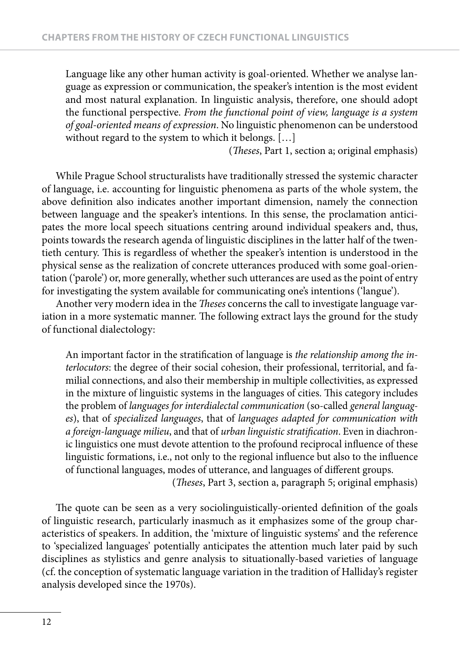Language like any other human activity is goal-oriented. Whether we analyse language as expression or communication, the speaker's intention is the most evident and most natural explanation. In linguistic analysis, therefore, one should adopt the functional perspective. *From the functional point of view, language is a system of goal-oriented means of expression*. No linguistic phenomenon can be understood without regard to the system to which it belongs. [...]

(*Theses*, Part 1, section a; original emphasis)

While Prague School structuralists have traditionally stressed the systemic character of language, i.e. accounting for linguistic phenomena as parts of the whole system, the above definition also indicates another important dimension, namely the connection between language and the speaker's intentions. In this sense, the proclamation anticipates the more local speech situations centring around individual speakers and, thus, points towards the research agenda of linguistic disciplines in the latter half of the twentieth century. This is regardless of whether the speaker's intention is understood in the physical sense as the realization of concrete utterances produced with some goal-orientation ('parole') or, more generally, whether such utterances are used as the point of entry for investigating the system available for communicating one's intentions ('langue').

Another very modern idea in the *Theses* concerns the call to investigate language variation in a more systematic manner. The following extract lays the ground for the study of functional dialectology:

An important factor in the stratification of language is the relationship among the in*terlocutors*: the degree of their social cohesion, their professional, territorial, and familial connections, and also their membership in multiple collectivities, as expressed in the mixture of linguistic systems in the languages of cities. This category includes the problem of *languages for interdialectal communication* (so-called *general languages*), that of *specialized languages*, that of *languages adapted for communication with a foreign-language milieu*, and that of *urban linguistic stratifi cation*. Even in diachronic linguistics one must devote attention to the profound reciprocal influence of these linguistic formations, i.e., not only to the regional influence but also to the influence of functional languages, modes of utterance, and languages of different groups.

(*Th eses*, Part 3, section a, paragraph 5; original emphasis)

The quote can be seen as a very sociolinguistically-oriented definition of the goals of linguistic research, particularly inasmuch as it emphasizes some of the group characteristics of speakers. In addition, the 'mixture of linguistic systems' and the reference to 'specialized languages' potentially anticipates the attention much later paid by such disciplines as stylistics and genre analysis to situationally-based varieties of language (cf. the conception of systematic language variation in the tradition of Halliday's register analysis developed since the 1970s).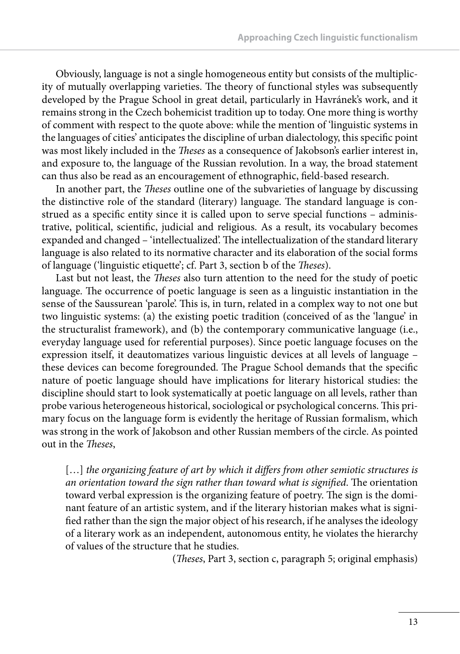Obviously, language is not a single homogeneous entity but consists of the multiplicity of mutually overlapping varieties. The theory of functional styles was subsequently developed by the Prague School in great detail, particularly in Havránek's work, and it remains strong in the Czech bohemicist tradition up to today. One more thing is worthy of comment with respect to the quote above: while the mention of 'linguistic systems in the languages of cities' anticipates the discipline of urban dialectology, this specific point was most likely included in the *Theses* as a consequence of Jakobson's earlier interest in, and exposure to, the language of the Russian revolution. In a way, the broad statement can thus also be read as an encouragement of ethnographic, field-based research.

In another part, the *Theses* outline one of the subvarieties of language by discussing the distinctive role of the standard (literary) language. The standard language is construed as a specific entity since it is called upon to serve special functions - administrative, political, scientific, judicial and religious. As a result, its vocabulary becomes expanded and changed – 'intellectualized'. The intellectualization of the standard literary language is also related to its normative character and its elaboration of the social forms of language ('linguistic etiquette'; cf. Part 3, section b of the *Theses*).

Last but not least, the *Theses* also turn attention to the need for the study of poetic language. The occurrence of poetic language is seen as a linguistic instantiation in the sense of the Saussurean 'parole'. This is, in turn, related in a complex way to not one but two linguistic systems: (a) the existing poetic tradition (conceived of as the 'langue' in the structuralist framework), and (b) the contemporary communicative language (i.e., everyday language used for referential purposes). Since poetic language focuses on the expression itself, it deautomatizes various linguistic devices at all levels of language – these devices can become foregrounded. The Prague School demands that the specific nature of poetic language should have implications for literary historical studies: the discipline should start to look systematically at poetic language on all levels, rather than probe various heterogeneous historical, sociological or psychological concerns. This primary focus on the language form is evidently the heritage of Russian formalism, which was strong in the work of Jakobson and other Russian members of the circle. As pointed out in the *Theses*,

[...] *the organizing feature of art by which it differs from other semiotic structures is an orientation toward the sign rather than toward what is signified*. The orientation toward verbal expression is the organizing feature of poetry. The sign is the dominant feature of an artistic system, and if the literary historian makes what is signified rather than the sign the major object of his research, if he analyses the ideology of a literary work as an independent, autonomous entity, he violates the hierarchy of values of the structure that he studies.

(*Theses*, Part 3, section c, paragraph 5; original emphasis)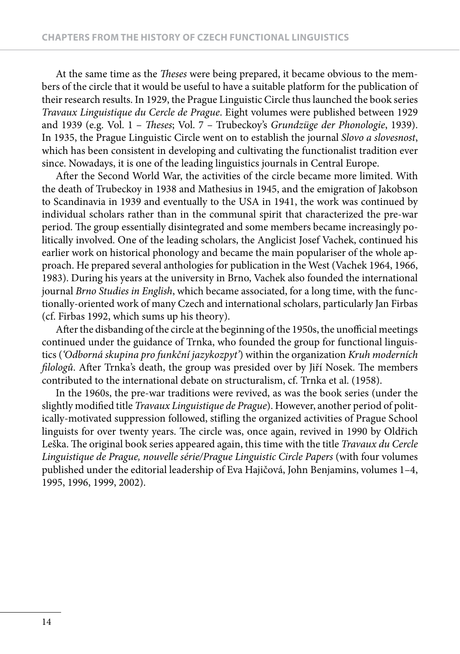At the same time as the *Theses* were being prepared, it became obvious to the members of the circle that it would be useful to have a suitable platform for the publication of their research results. In 1929, the Prague Linguistic Circle thus launched the book series *Travaux Linguistique du Cercle de Prague*. Eight volumes were published between 1929 and 1939 (e.g. Vol. 1 - *Theses*; Vol. 7 - Trubeckoy's *Grundzüge der Phonologie*, 1939). In 1935, the Prague Linguistic Circle went on to establish the journal *Slovo a slovesnost*, which has been consistent in developing and cultivating the functionalist tradition ever since. Nowadays, it is one of the leading linguistics journals in Central Europe.

After the Second World War, the activities of the circle became more limited. With the death of Trubeckoy in 1938 and Mathesius in 1945, and the emigration of Jakobson to Scandinavia in 1939 and eventually to the USA in 1941, the work was continued by individual scholars rather than in the communal spirit that characterized the pre-war period. The group essentially disintegrated and some members became increasingly politically involved. One of the leading scholars, the Anglicist Josef Vachek, continued his earlier work on historical phonology and became the main populariser of the whole approach. He prepared several anthologies for publication in the West (Vachek 1964, 1966, 1983). During his years at the university in Brno, Vachek also founded the international journal *Brno Studies in English*, which became associated, for a long time, with the functionally-oriented work of many Czech and international scholars, particularly Jan Firbas (cf. Firbas 1992, which sums up his theory).

After the disbanding of the circle at the beginning of the 1950s, the unofficial meetings continued under the guidance of Trnka, who founded the group for functional linguistics (*'Odborná skupina pro funkční jazykozpyt'*) within the organization *Kruh moderních filologů*. After Trnka's death, the group was presided over by Jiří Nosek. The members contributed to the international debate on structuralism, cf. Trnka et al. (1958).

In the 1960s, the pre-war traditions were revived, as was the book series (under the slightly modified title *Travaux Linguistique de Prague*). However, another period of politically-motivated suppression followed, stifling the organized activities of Prague School linguists for over twenty years. The circle was, once again, revived in 1990 by Oldřich Leška. The original book series appeared again, this time with the title *Travaux du Cercle Linguistique de Prague, nouvelle série/Prague Linguistic Circle Papers* (with four volumes published under the editorial leadership of Eva Hajičová, John Benjamins, volumes 1–4, 1995, 1996, 1999, 2002).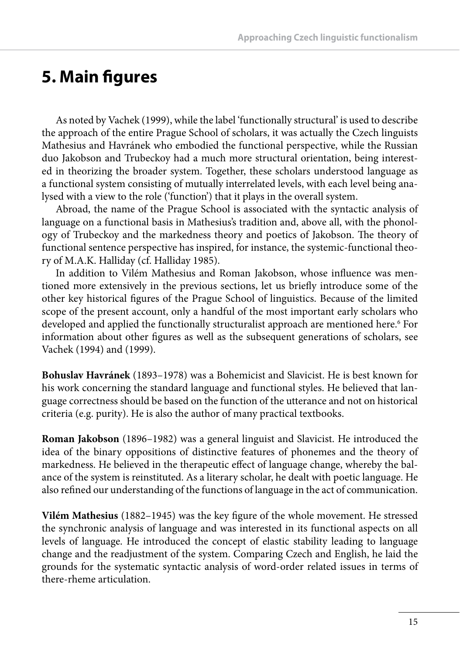## **5. Main figures**

As noted by Vachek (1999), while the label 'functionally structural' is used to describe the approach of the entire Prague School of scholars, it was actually the Czech linguists Mathesius and Havránek who embodied the functional perspective, while the Russian duo Jakobson and Trubeckoy had a much more structural orientation, being interested in theorizing the broader system. Together, these scholars understood language as a functional system consisting of mutually interrelated levels, with each level being analysed with a view to the role ('function') that it plays in the overall system.

Abroad, the name of the Prague School is associated with the syntactic analysis of language on a functional basis in Mathesius's tradition and, above all, with the phonology of Trubeckoy and the markedness theory and poetics of Jakobson. The theory of functional sentence perspective has inspired, for instance, the systemic-functional theory of M.A.K. Halliday (cf. Halliday 1985).

In addition to Vilém Mathesius and Roman Jakobson, whose influence was mentioned more extensively in the previous sections, let us briefly introduce some of the other key historical figures of the Prague School of linguistics. Because of the limited scope of the present account, only a handful of the most important early scholars who developed and applied the functionally structuralist approach are mentioned here.<sup>6</sup> For information about other figures as well as the subsequent generations of scholars, see Vachek (1994) and (1999).

**Bohuslav Havránek** (1893–1978) was a Bohemicist and Slavicist. He is best known for his work concerning the standard language and functional styles. He believed that language correctness should be based on the function of the utterance and not on historical criteria (e.g. purity). He is also the author of many practical textbooks.

**Roman Jakobson** (1896–1982) was a general linguist and Slavicist. He introduced the idea of the binary oppositions of distinctive features of phonemes and the theory of markedness. He believed in the therapeutic effect of language change, whereby the balance of the system is reinstituted. As a literary scholar, he dealt with poetic language. He also refined our understanding of the functions of language in the act of communication.

**Vilém Mathesius** (1882–1945) was the key figure of the whole movement. He stressed the synchronic analysis of language and was interested in its functional aspects on all levels of language. He introduced the concept of elastic stability leading to language change and the readjustment of the system. Comparing Czech and English, he laid the grounds for the systematic syntactic analysis of word-order related issues in terms of there-rheme articulation.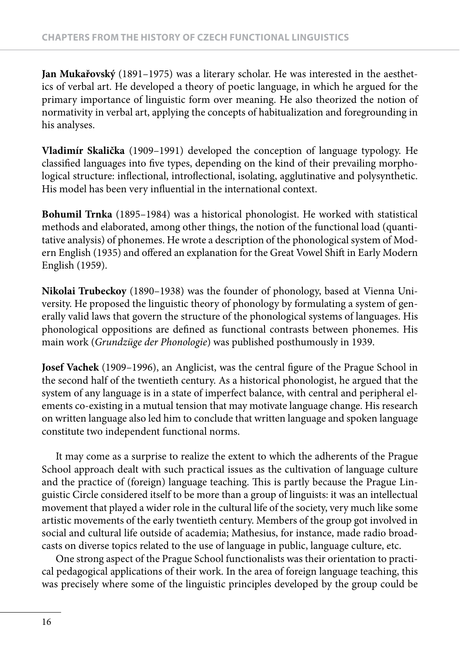**Jan Mukařovský** (1891–1975) was a literary scholar. He was interested in the aesthetics of verbal art. He developed a theory of poetic language, in which he argued for the primary importance of linguistic form over meaning. He also theorized the notion of normativity in verbal art, applying the concepts of habitualization and foregrounding in his analyses.

**Vladimír Skalička** (1909–1991) developed the conception of language typology. He classified languages into five types, depending on the kind of their prevailing morphological structure: inflectional, introflectional, isolating, agglutinative and polysynthetic. His model has been very influential in the international context.

**Bohumil Trnka** (1895–1984) was a historical phonologist. He worked with statistical methods and elaborated, among other things, the notion of the functional load (quantitative analysis) of phonemes. He wrote a description of the phonological system of Modern English (1935) and offered an explanation for the Great Vowel Shift in Early Modern English (1959).

**Nikolai Trubeckoy** (1890–1938) was the founder of phonology, based at Vienna University. He proposed the linguistic theory of phonology by formulating a system of generally valid laws that govern the structure of the phonological systems of languages. His phonological oppositions are defined as functional contrasts between phonemes. His main work (*Grundzüge der Phonologie*) was published posthumously in 1939.

Josef Vachek (1909–1996), an Anglicist, was the central figure of the Prague School in the second half of the twentieth century. As a historical phonologist, he argued that the system of any language is in a state of imperfect balance, with central and peripheral elements co-existing in a mutual tension that may motivate language change. His research on written language also led him to conclude that written language and spoken language constitute two independent functional norms.

It may come as a surprise to realize the extent to which the adherents of the Prague School approach dealt with such practical issues as the cultivation of language culture and the practice of (foreign) language teaching. This is partly because the Prague Linguistic Circle considered itself to be more than a group of linguists: it was an intellectual movement that played a wider role in the cultural life of the society, very much like some artistic movements of the early twentieth century. Members of the group got involved in social and cultural life outside of academia; Mathesius, for instance, made radio broadcasts on diverse topics related to the use of language in public, language culture, etc.

One strong aspect of the Prague School functionalists was their orientation to practical pedagogical applications of their work. In the area of foreign language teaching, this was precisely where some of the linguistic principles developed by the group could be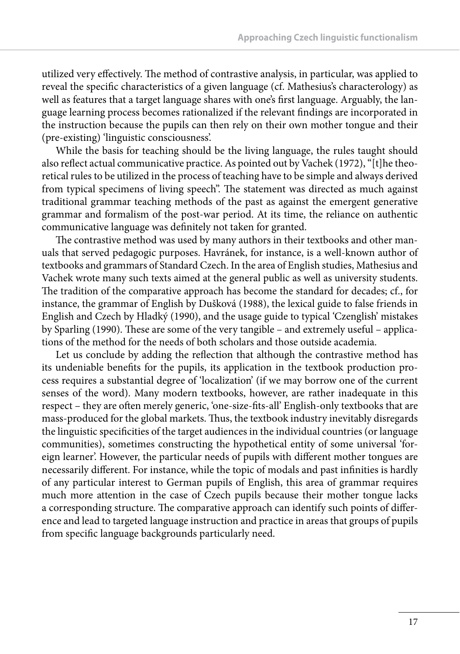utilized very effectively. The method of contrastive analysis, in particular, was applied to reveal the specific characteristics of a given language (cf. Mathesius's characterology) as well as features that a target language shares with one's first language. Arguably, the language learning process becomes rationalized if the relevant findings are incorporated in the instruction because the pupils can then rely on their own mother tongue and their (pre-existing) 'linguistic consciousness'.

While the basis for teaching should be the living language, the rules taught should also reflect actual communicative practice. As pointed out by Vachek (1972), "[t]he theoretical rules to be utilized in the process of teaching have to be simple and always derived from typical specimens of living speech". The statement was directed as much against traditional grammar teaching methods of the past as against the emergent generative grammar and formalism of the post-war period. At its time, the reliance on authentic communicative language was definitely not taken for granted.

The contrastive method was used by many authors in their textbooks and other manuals that served pedagogic purposes. Havránek, for instance, is a well-known author of textbooks and grammars of Standard Czech. In the area of English studies, Mathesius and Vachek wrote many such texts aimed at the general public as well as university students. The tradition of the comparative approach has become the standard for decades; cf., for instance, the grammar of English by Dušková (1988), the lexical guide to false friends in English and Czech by Hladký (1990), and the usage guide to typical 'Czenglish' mistakes by Sparling (1990). These are some of the very tangible – and extremely useful – applications of the method for the needs of both scholars and those outside academia.

Let us conclude by adding the reflection that although the contrastive method has its undeniable benefits for the pupils, its application in the textbook production process requires a substantial degree of 'localization' (if we may borrow one of the current senses of the word). Many modern textbooks, however, are rather inadequate in this respect – they are often merely generic, 'one-size-fits-all' English-only textbooks that are mass-produced for the global markets. Thus, the textbook industry inevitably disregards the linguistic specificities of the target audiences in the individual countries (or language communities), sometimes constructing the hypothetical entity of some universal 'foreign learner'. However, the particular needs of pupils with different mother tongues are necessarily different. For instance, while the topic of modals and past infinities is hardly of any particular interest to German pupils of English, this area of grammar requires much more attention in the case of Czech pupils because their mother tongue lacks a corresponding structure. The comparative approach can identify such points of difference and lead to targeted language instruction and practice in areas that groups of pupils from specific language backgrounds particularly need.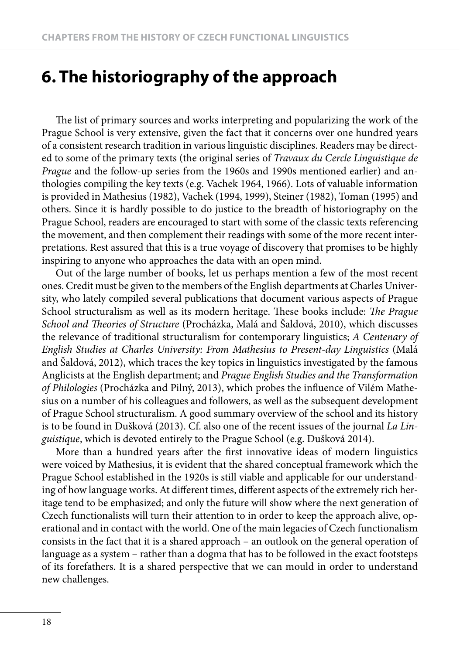### **6. The historiography of the approach**

The list of primary sources and works interpreting and popularizing the work of the Prague School is very extensive, given the fact that it concerns over one hundred years of a consistent research tradition in various linguistic disciplines. Readers may be directed to some of the primary texts (the original series of *Travaux du Cercle Linguistique de Prague* and the follow-up series from the 1960s and 1990s mentioned earlier) and anthologies compiling the key texts (e.g. Vachek 1964, 1966). Lots of valuable information is provided in Mathesius (1982), Vachek (1994, 1999), Steiner (1982), Toman (1995) and others. Since it is hardly possible to do justice to the breadth of historiography on the Prague School, readers are encouraged to start with some of the classic texts referencing the movement, and then complement their readings with some of the more recent interpretations. Rest assured that this is a true voyage of discovery that promises to be highly inspiring to anyone who approaches the data with an open mind.

Out of the large number of books, let us perhaps mention a few of the most recent ones. Credit must be given to the members of the English departments at Charles University, who lately compiled several publications that document various aspects of Prague School structuralism as well as its modern heritage. These books include: *The Prague* School and Theories of Structure (Procházka, Malá and Šaldová, 2010), which discusses the relevance of traditional structuralism for contemporary linguistics; *A Centenary of English Studies at Charles University: From Mathesius to Present-day Linguistics* (Malá and Šaldová, 2012), which traces the key topics in linguistics investigated by the famous Anglicists at the English department; and *Prague English Studies and the Transformation*  of Philologies (Procházka and Pilný, 2013), which probes the influence of Vilém Mathesius on a number of his colleagues and followers, as well as the subsequent development of Prague School structuralism. A good summary overview of the school and its history is to be found in Dušková (2013). Cf. also one of the recent issues of the journal *La Linguistique*, which is devoted entirely to the Prague School (e.g. Dušková 2014).

More than a hundred years after the first innovative ideas of modern linguistics were voiced by Mathesius, it is evident that the shared conceptual framework which the Prague School established in the 1920s is still viable and applicable for our understanding of how language works. At different times, different aspects of the extremely rich heritage tend to be emphasized; and only the future will show where the next generation of Czech functionalists will turn their attention to in order to keep the approach alive, operational and in contact with the world. One of the main legacies of Czech functionalism consists in the fact that it is a shared approach – an outlook on the general operation of language as a system – rather than a dogma that has to be followed in the exact footsteps of its forefathers. It is a shared perspective that we can mould in order to understand new challenges.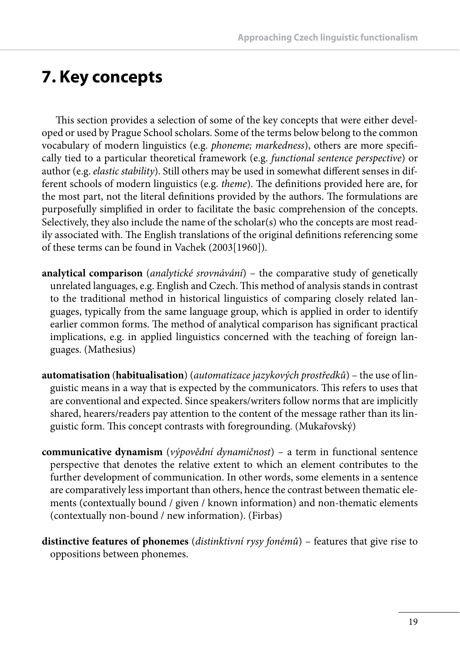# **7. Key concepts**

This section provides a selection of some of the key concepts that were either developed or used by Prague School scholars. Some of the terms below belong to the common vocabulary of modern linguistics (e.g. *phoneme; markedness*), others are more specifically tied to a particular theoretical framework (e.g. *functional sentence perspective*) or author (e.g. *elastic stability*). Still others may be used in somewhat different senses in different schools of modern linguistics (e.g. *theme*). The definitions provided here are, for the most part, not the literal definitions provided by the authors. The formulations are purposefully simplified in order to facilitate the basic comprehension of the concepts. Selectively, they also include the name of the scholar(s) who the concepts are most readily associated with. The English translations of the original definitions referencing some of these terms can be found in Vachek (2003[1960]).

- **analytical comparison** (*analytické srovnávání*) the comparative study of genetically unrelated languages, e.g. English and Czech. This method of analysis stands in contrast to the traditional method in historical linguistics of comparing closely related languages, typically from the same language group, which is applied in order to identify earlier common forms. The method of analytical comparison has significant practical implications, e.g. in applied linguistics concerned with the teaching of foreign languages. (Mathesius)
- **automatisation** (**habitualisation**) (*automatizace jazykových prostředků*) the use of linguistic means in a way that is expected by the communicators. This refers to uses that are conventional and expected. Since speakers/writers follow norms that are implicitly shared, hearers/readers pay attention to the content of the message rather than its linguistic form. This concept contrasts with foregrounding. (Mukařovský)
- **communicative dynamism** (*výpovědní dynamičnost*) a term in functional sentence perspective that denotes the relative extent to which an element contributes to the further development of communication. In other words, some elements in a sentence are comparatively less important than others, hence the contrast between thematic elements (contextually bound / given / known information) and non-thematic elements (contextually non-bound / new information). (Firbas)
- **distinctive features of phonemes** (*distinktivní rysy fonémů*) features that give rise to oppositions between phonemes.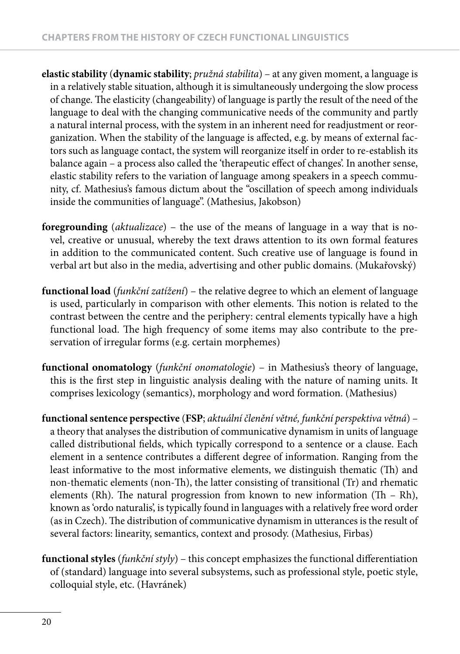- **elastic stability** (**dynamic stability**; *pružná stabilita*) at any given moment, a language is in a relatively stable situation, although it is simultaneously undergoing the slow process of change. The elasticity (changeability) of language is partly the result of the need of the language to deal with the changing communicative needs of the community and partly a natural internal process, with the system in an inherent need for readjustment or reorganization. When the stability of the language is affected, e.g. by means of external factors such as language contact, the system will reorganize itself in order to re-establish its balance again - a process also called the 'therapeutic effect of changes'. In another sense, elastic stability refers to the variation of language among speakers in a speech community, cf. Mathesius's famous dictum about the "oscillation of speech among individuals inside the communities of language". (Mathesius, Jakobson)
- **foregrounding** (*aktualizace*) the use of the means of language in a way that is novel, creative or unusual, whereby the text draws attention to its own formal features in addition to the communicated content. Such creative use of language is found in verbal art but also in the media, advertising and other public domains. (Mukařovský)
- **functional load** (*funkční zatížení*) the relative degree to which an element of language is used, particularly in comparison with other elements. This notion is related to the contrast between the centre and the periphery: central elements typically have a high functional load. The high frequency of some items may also contribute to the preservation of irregular forms (e.g. certain morphemes)
- **functional onomatology** (*funkční onomatologie*) in Mathesius's theory of language, this is the first step in linguistic analysis dealing with the nature of naming units. It comprises lexicology (semantics), morphology and word formation. (Mathesius)
- **functional sentence perspective** (**FSP**; *aktuální členění větné, funkční perspektiva větná*) a theory that analyses the distribution of communicative dynamism in units of language called distributional fields, which typically correspond to a sentence or a clause. Each element in a sentence contributes a different degree of information. Ranging from the least informative to the most informative elements, we distinguish thematic (Th) and non-thematic elements (non-Th), the latter consisting of transitional (Tr) and rhematic elements (Rh). The natural progression from known to new information (Th - Rh), known as 'ordo naturalis', is typically found in languages with a relatively free word order (as in Czech). The distribution of communicative dynamism in utterances is the result of several factors: linearity, semantics, context and prosody. (Mathesius, Firbas)
- functional styles (funkční styly) this concept emphasizes the functional differentiation of (standard) language into several subsystems, such as professional style, poetic style, colloquial style, etc. (Havránek)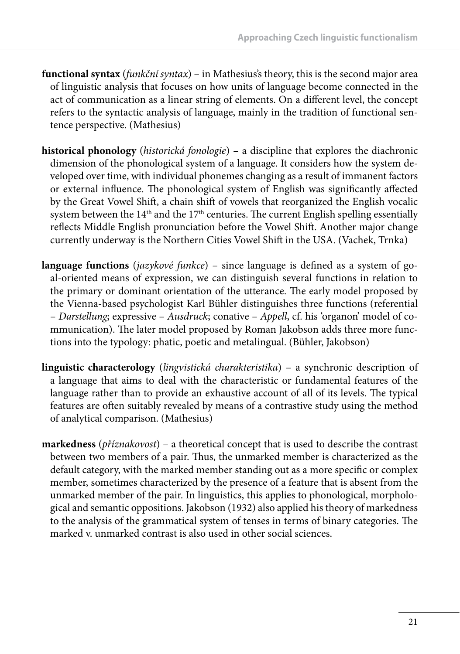- **functional syntax** (*funkční syntax*) in Mathesius's theory, this is the second major area of linguistic analysis that focuses on how units of language become connected in the act of communication as a linear string of elements. On a different level, the concept refers to the syntactic analysis of language, mainly in the tradition of functional sentence perspective. (Mathesius)
- **historical phonology** (*historická fonologie*) a discipline that explores the diachronic dimension of the phonological system of a language. It considers how the system developed over time, with individual phonemes changing as a result of immanent factors or external influence. The phonological system of English was significantly affected by the Great Vowel Shift , a chain shift of vowels that reorganized the English vocalic system between the  $14<sup>th</sup>$  and the  $17<sup>th</sup>$  centuries. The current English spelling essentially reflects Middle English pronunciation before the Vowel Shift. Another major change currently underway is the Northern Cities Vowel Shift in the USA. (Vachek, Trnka)
- **language functions** (*jazykové funkce*) since language is defined as a system of goal-oriented means of expression, we can distinguish several functions in relation to the primary or dominant orientation of the utterance. The early model proposed by the Vienna-based psychologist Karl Bühler distinguishes three functions (referential – *Darstellung*; expressive – *Ausdruck*; conative – *Appell*, cf. his 'organon' model of communication). The later model proposed by Roman Jakobson adds three more functions into the typology: phatic, poetic and metalingual. (Bühler, Jakobson)
- **linguistic characterology** (*lingvistická charakteristika*) a synchronic description of a language that aims to deal with the characteristic or fundamental features of the language rather than to provide an exhaustive account of all of its levels. The typical features are often suitably revealed by means of a contrastive study using the method of analytical comparison. (Mathesius)
- **markedness** (*příznakovost*) a theoretical concept that is used to describe the contrast between two members of a pair. Thus, the unmarked member is characterized as the default category, with the marked member standing out as a more specific or complex member, sometimes characterized by the presence of a feature that is absent from the unmarked member of the pair. In linguistics, this applies to phonological, morphological and semantic oppositions. Jakobson (1932) also applied his theory of markedness to the analysis of the grammatical system of tenses in terms of binary categories. The marked v. unmarked contrast is also used in other social sciences.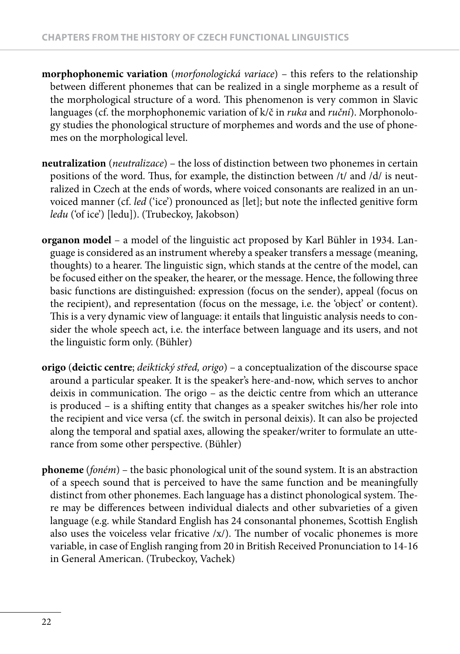- **morphophonemic variation** (*morfonologická variace*) this refers to the relationship between different phonemes that can be realized in a single morpheme as a result of the morphological structure of a word. This phenomenon is very common in Slavic languages (cf. the morphophonemic variation of k/č in *ruka* and *ruční*). Morphonology studies the phonological structure of morphemes and words and the use of phonemes on the morphological level.
- **neutralization** (*neutralizace*) the loss of distinction between two phonemes in certain positions of the word. Thus, for example, the distinction between /t/ and /d/ is neutralized in Czech at the ends of words, where voiced consonants are realized in an unvoiced manner (cf. *led* ('ice') pronounced as [let]; but note the inflected genitive form *ledu* ('of ice') [ledu]). (Trubeckoy, Jakobson)
- **organon model** a model of the linguistic act proposed by Karl Bühler in 1934. Language is considered as an instrument whereby a speaker transfers a message (meaning, thoughts) to a hearer. The linguistic sign, which stands at the centre of the model, can be focused either on the speaker, the hearer, or the message. Hence, the following three basic functions are distinguished: expression (focus on the sender), appeal (focus on the recipient), and representation (focus on the message, i.e. the 'object' or content). This is a very dynamic view of language: it entails that linguistic analysis needs to consider the whole speech act, i.e. the interface between language and its users, and not the linguistic form only. (Bühler)
- **origo** (**deictic centre**; *deiktický střed, origo*) a conceptualization of the discourse space around a particular speaker. It is the speaker's here-and-now, which serves to anchor deixis in communication. The origo – as the deictic centre from which an utterance is produced - is a shifting entity that changes as a speaker switches his/her role into the recipient and vice versa (cf. the switch in personal deixis). It can also be projected along the temporal and spatial axes, allowing the speaker/writer to formulate an utterance from some other perspective. (Bühler)
- **phoneme** (*foném*) the basic phonological unit of the sound system. It is an abstraction of a speech sound that is perceived to have the same function and be meaningfully distinct from other phonemes. Each language has a distinct phonological system. There may be differences between individual dialects and other subvarieties of a given language (e.g. while Standard English has 24 consonantal phonemes, Scottish English also uses the voiceless velar fricative  $/x/$ ). The number of vocalic phonemes is more variable, in case of English ranging from 20 in British Received Pronunciation to 14-16 in General American. (Trubeckoy, Vachek)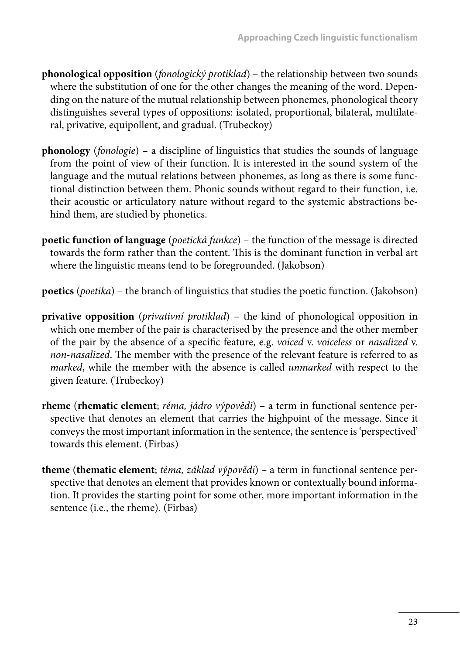- **phonological opposition** (*fonologický protiklad*) the relationship between two sounds where the substitution of one for the other changes the meaning of the word. Depending on the nature of the mutual relationship between phonemes, phonological theory distinguishes several types of oppositions: isolated, proportional, bilateral, multilateral, privative, equipollent, and gradual. (Trubeckoy)
- **phonology** (*fonologie*) a discipline of linguistics that studies the sounds of language from the point of view of their function. It is interested in the sound system of the language and the mutual relations between phonemes, as long as there is some functional distinction between them. Phonic sounds without regard to their function, i.e. their acoustic or articulatory nature without regard to the systemic abstractions behind them, are studied by phonetics.
- **poetic function of language** (*poetická funkce*) the function of the message is directed towards the form rather than the content. This is the dominant function in verbal art where the linguistic means tend to be foregrounded. (Jakobson)

**poetics** (*poetika*) – the branch of linguistics that studies the poetic function. (Jakobson)

- **privative opposition** (*privativní protiklad*) the kind of phonological opposition in which one member of the pair is characterised by the presence and the other member of the pair by the absence of a specifi c feature, e.g. *voiced* v. *voiceless* or *nasalized* v. *non-nasalized*. The member with the presence of the relevant feature is referred to as *marked*, while the member with the absence is called *unmarked* with respect to the given feature. (Trubeckoy)
- **rheme** (**rhematic element**; *réma, jádro výpovědi*) a term in functional sentence perspective that denotes an element that carries the highpoint of the message. Since it conveys the most important information in the sentence, the sentence is 'perspectived' towards this element. (Firbas)
- **theme** (**thematic element**; *téma, základ výpovědi*) a term in functional sentence perspective that denotes an element that provides known or contextually bound information. It provides the starting point for some other, more important information in the sentence (i.e., the rheme). (Firbas)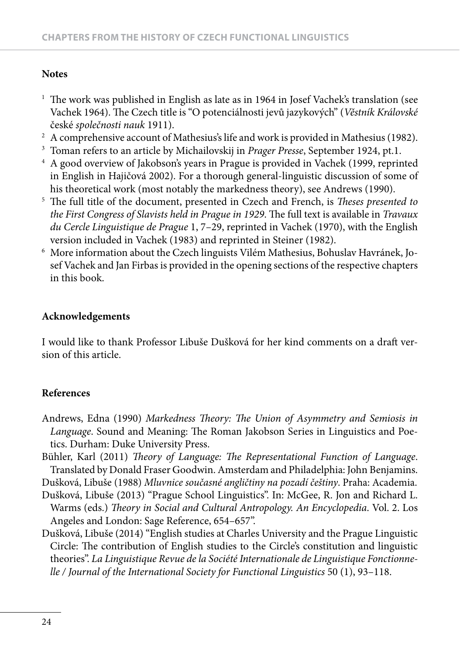#### **Notes**

- $^1$  The work was published in English as late as in 1964 in Josef Vachek's translation (see Vachek 1964). The Czech title is "O potenciálnosti jevů jazykových" (*Věstník Královské* české *společnosti nauk* 1911).
- $^{\rm 2} \,$  A comprehensive account of Mathesius's life and work is provided in Mathesius (1982).
- 3 Toman refers to an article by Michailovskij in *Prager Presse*, September 1924, pt.1.
- 4 A good overview of Jakobson's years in Prague is provided in Vachek (1999, reprinted in English in Hajičová 2002). For a thorough general-linguistic discussion of some of his theoretical work (most notably the markedness theory), see Andrews (1990).
- <sup>5</sup> The full title of the document, presented in Czech and French, is *Theses presented to the First Congress of Slavists held in Prague in 1929.* The full text is available in *Travaux du Cercle Linguistique de Prague* 1, 7–29, reprinted in Vachek (1970), with the English version included in Vachek (1983) and reprinted in Steiner (1982).
- $^{\rm 6}$  More information about the Czech linguists Vilém Mathesius, Bohuslav Havránek, Josef Vachek and Jan Firbas is provided in the opening sections of the respective chapters in this book.

#### **Acknowledgements**

I would like to thank Professor Libuše Dušková for her kind comments on a draft version of this article.

#### **References**

- Andrews, Edna (1990) *Markedness Theory: The Union of Asymmetry and Semiosis in Language*. Sound and Meaning: The Roman Jakobson Series in Linguistics and Poetics. Durham: Duke University Press.
- Bühler, Karl (2011) *Theory of Language: The Representational Function of Language.* Translated by Donald Fraser Goodwin. Amsterdam and Philadelphia: John Benjamins.

Dušková, Libuše (1988) *Mluvnice současné angličtiny na pozadí češtiny*. Praha: Academia.

- Dušková, Libuše (2013) "Prague School Linguistics". In: McGee, R. Jon and Richard L. Warms (eds.) *Theory in Social and Cultural Antropology. An Encyclopedia*. Vol. 2. Los Angeles and London: Sage Reference, 654–657".
- Dušková, Libuše (2014) "English studies at Charles University and the Prague Linguistic Circle: The contribution of English studies to the Circle's constitution and linguistic theories". *La Linguistique Revue de la Société Internationale de Linguistique Fonctionnelle / Journal of the International Society for Functional Linguistics* 50 (1), 93–118.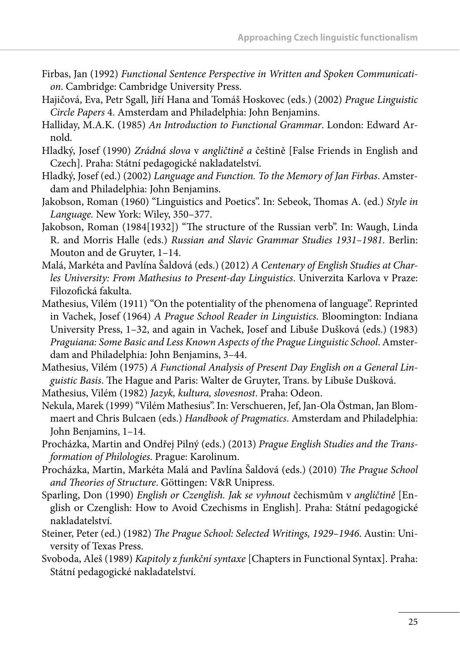- Firbas, Jan (1992) *Functional Sentence Perspective in Written and Spoken Communication*. Cambridge: Cambridge University Press.
- Hajičová, Eva, Petr Sgall, Jiří Hana and Tomáš Hoskovec (eds.) (2002) *Prague Linguistic Circle Papers* 4. Amsterdam and Philadelphia: John Benjamins.
- Halliday, M.A.K. (1985) *An Introduction to Functional Grammar*. London: Edward Arnold.
- Hladký, Josef (1990) *Zrádná slova* v *angličtině a* češtině [False Friends in English and Czech]. Praha: Státní pedagogické nakladatelství.
- Hladký, Josef (ed.) (2002) *Language and Function. To the Memory of Jan Firbas*. Amsterdam and Philadelphia: John Benjamins.
- Jakobson, Roman (1960) "Linguistics and Poetics". In: Sebeok, Thomas A. (ed.) Style in *Language.* New York: Wiley, 350–377.
- Jakobson, Roman (1984[1932]) "The structure of the Russian verb". In: Waugh, Linda R. and Morris Halle (eds.) *Russian and Slavic Grammar Studies 1931–1981*. Berlin: Mouton and de Gruyter, 1–14.
- Malá, Markéta and Pavlína Šaldová (eds.) (2012) *A Centenary of English Studies at Charles University: From Mathesius to Present-day Linguistics*. Univerzita Karlova v Praze: Filozofická fakulta.
- Mathesius, Vilém (1911) "On the potentiality of the phenomena of language". Reprinted in Vachek, Josef (1964) *A Prague School Reader in Linguistics*. Bloomington: Indiana University Press, 1–32, and again in Vachek, Josef and Libuše Dušková (eds.) (1983) *Praguiana: Some Basic and Less Known Aspects of the Prague Linguistic School*. Amsterdam and Philadelphia: John Benjamins, 3–44.
- Mathesius, Vilém (1975) *A Functional Analysis of Present Day English on a General Linguistic Basis*. Th e Hague and Paris: Walter de Gruyter, Trans. by Libuše Dušková.

Mathesius, Vilém (1982) *Jazyk, kultura, slovesnost*. Praha: Odeon.

- Nekula, Marek (1999) "Vilém Mathesius". In: Verschueren, Jef, Jan-Ola Östman, Jan Blommaert and Chris Bulcaen (eds.) *Handbook of Pragmatics*. Amsterdam and Philadelphia: John Benjamins, 1–14.
- Procházka, Martin and Ondřej Pilný (eds.) (2013) *Prague English Studies and the Transformation of Philologies*. Prague: Karolinum.
- Procházka, Martin, Markéta Malá and Pavlína Šaldová (eds.) (2010) *The Prague School and Th eories of Structure*. Göttingen: V&R Unipress.
- Sparling, Don (1990) *English or Czenglish. Jak se vyhnout* čechismům v *angličtině* [English or Czenglish: How to Avoid Czechisms in English]. Praha: Státní pedagogické nakladatelství.
- Steiner, Peter (ed.) (1982) *The Prague School: Selected Writings, 1929-1946*. Austin: University of Texas Press.
- Svoboda, Aleš (1989) *Kapitoly* z *funkční syntaxe* [Chapters in Functional Syntax]. Praha: Státní pedagogické nakladatelství.